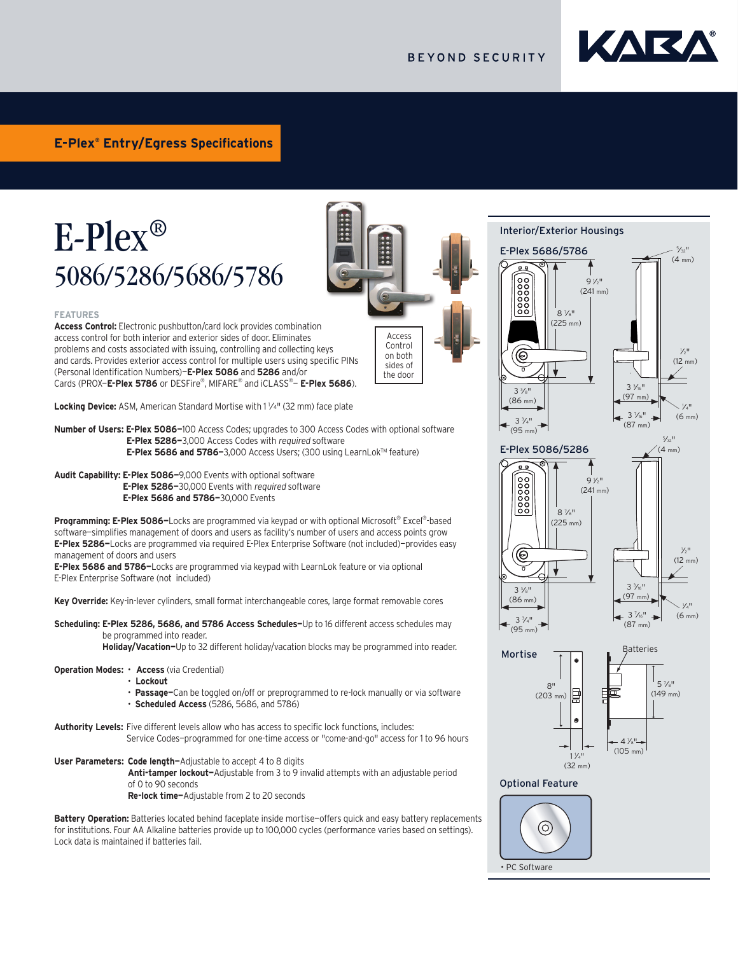## **BEYOND SECURITY**

Access Control on both sides of the door



# E-Plex® 5086/5286/5686/5786



**Access Control:** Electronic pushbutton/card lock provides combination access control for both interior and exterior sides of door. Eliminates problems and costs associated with issuing, controlling and collecting keys and cards. Provides exterior access control for multiple users using specific PINs (Personal Identification Numbers)—**E-Plex 5086** and **5286** and/or Cards (PROX—**E-Plex 5786** or DESFire®, MIFARE® and iCLASS®— **E-Plex 5686**).

**Locking Device:** ASM, American Standard Mortise with 1 <sup>1</sup>/4" (32 mm) face plate

**Number of Users: E-Plex 5086—**100 Access Codes; upgrades to 300 Access Codes with optional software **E-Plex 5286—**3,000 Access Codes with required software **E-Plex 5686 and 5786—**3,000 Access Users; (300 using LearnLok™ feature)

**Audit Capability: E-Plex 5086—**9,000 Events with optional software **E-Plex 5286—**30,000 Events with required software **E-Plex 5686 and 5786—**30,000 Events

**Programming: E-Plex 5086—**Locks are programmed via keypad or with optional Microsoft® Excel®-based software—simplifies management of doors and users as facility's number of users and access points grow **E-Plex 5286—**Locks are programmed via required E-Plex Enterprise Software (not included)—provides easy management of doors and users

**E-Plex 5686 and 5786—**Locks are programmed via keypad with LearnLok feature or via optional E-Plex Enterprise Software (not included)

**Key Override:** Key-in-lever cylinders, small format interchangeable cores, large format removable cores

**Scheduling: E-Plex 5286, 5686, and 5786 Access Schedules—**Up to 16 different access schedules may be programmed into reader.

**Holiday/Vacation—**Up to 32 different holiday/vacation blocks may be programmed into reader.

### **Operation Modes:** • **Access** (via Credential)

- • **Lockout**
- **Passage—**Can be toggled on/off or preprogrammed to re-lock manually or via software
- **Scheduled Access** (5286, 5686, and 5786)

**Authority Levels:** Five different levels allow who has access to specific lock functions, includes: Service Codes—programmed for one-time access or "come-and-go" access for 1 to 96 hours

### **User Parameters: Code length—**Adjustable to accept 4 to 8 digits

**Anti-tamper lockout—**Adjustable from 3 to 9 invalid attempts with an adjustable period of 0 to 90 seconds

**Re-lock time—**Adjustable from 2 to 20 seconds

Battery Operation: Batteries located behind faceplate inside mortise-offers quick and easy battery replacements for institutions. Four AA Alkaline batteries provide up to 100,000 cycles (performance varies based on settings). Lock data is maintained if batteries fail.